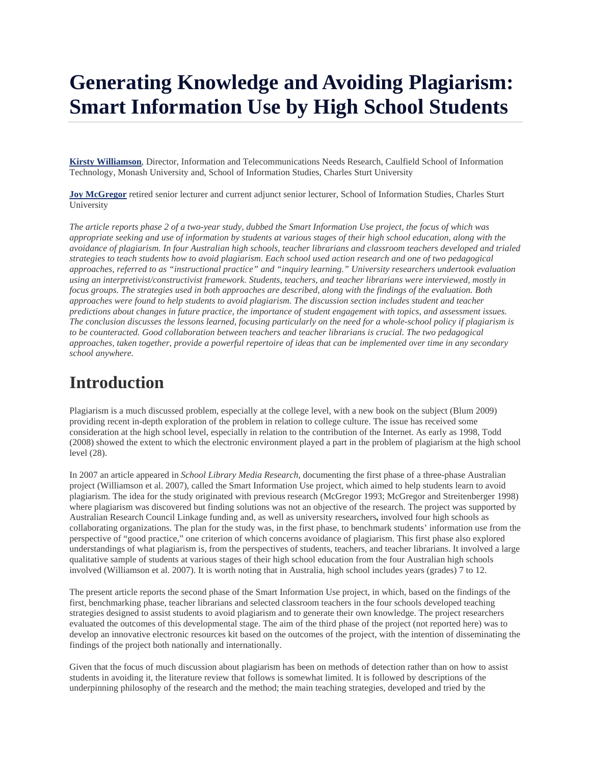# **Generating Knowledge and Avoiding Plagiarism: Smart Information Use by High School Students**

**Kirsty Williamson**, Director, Information and Telecommunications Needs Research, Caulfield School of Information Technology, Monash University and, School of Information Studies, Charles Sturt University

**Joy McGregor** retired senior lecturer and current adjunct senior lecturer, School of Information Studies, Charles Sturt University

*The article reports phase 2 of a two-year study, dubbed the Smart Information Use project, the focus of which was appropriate seeking and use of information by students at various stages of their high school education, along with the avoidance of plagiarism. In four Australian high schools, teacher librarians and classroom teachers developed and trialed strategies to teach students how to avoid plagiarism. Each school used action research and one of two pedagogical approaches, referred to as "instructional practice" and "inquiry learning." University researchers undertook evaluation using an interpretivist/constructivist framework. Students, teachers, and teacher librarians were interviewed, mostly in focus groups. The strategies used in both approaches are described, along with the findings of the evaluation. Both approaches were found to help students to avoid plagiarism. The discussion section includes student and teacher predictions about changes in future practice, the importance of student engagement with topics, and assessment issues. The conclusion discusses the lessons learned, focusing particularly on the need for a whole-school policy if plagiarism is*  to be counteracted. Good collaboration between teachers and teacher librarians is crucial. The two pedagogical *approaches, taken together, provide a powerful repertoire of ideas that can be implemented over time in any secondary school anywhere.*

# **Introduction**

Plagiarism is a much discussed problem, especially at the college level, with a new book on the subject (Blum 2009) providing recent in-depth exploration of the problem in relation to college culture. The issue has received some consideration at the high school level, especially in relation to the contribution of the Internet. As early as 1998, Todd (2008) showed the extent to which the electronic environment played a part in the problem of plagiarism at the high school level (28).

In 2007 an article appeared in *School Library Media Research*, documenting the first phase of a three-phase Australian project (Williamson et al. 2007), called the Smart Information Use project, which aimed to help students learn to avoid plagiarism. The idea for the study originated with previous research (McGregor 1993; McGregor and Streitenberger 1998) where plagiarism was discovered but finding solutions was not an objective of the research. The project was supported by Australian Research Council Linkage funding and, as well as university researchers**,** involved four high schools as collaborating organizations. The plan for the study was, in the first phase, to benchmark students' information use from the perspective of "good practice," one criterion of which concerns avoidance of plagiarism. This first phase also explored understandings of what plagiarism is, from the perspectives of students, teachers, and teacher librarians. It involved a large qualitative sample of students at various stages of their high school education from the four Australian high schools involved (Williamson et al. 2007). It is worth noting that in Australia, high school includes years (grades) 7 to 12.

The present article reports the second phase of the Smart Information Use project, in which, based on the findings of the first, benchmarking phase, teacher librarians and selected classroom teachers in the four schools developed teaching strategies designed to assist students to avoid plagiarism and to generate their own knowledge. The project researchers evaluated the outcomes of this developmental stage. The aim of the third phase of the project (not reported here) was to develop an innovative electronic resources kit based on the outcomes of the project, with the intention of disseminating the findings of the project both nationally and internationally.

Given that the focus of much discussion about plagiarism has been on methods of detection rather than on how to assist students in avoiding it, the literature review that follows is somewhat limited. It is followed by descriptions of the underpinning philosophy of the research and the method; the main teaching strategies, developed and tried by the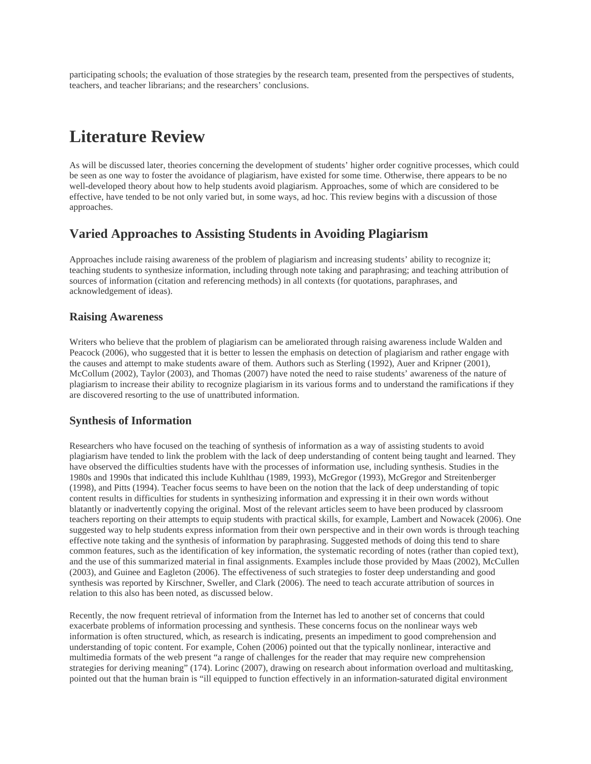participating schools; the evaluation of those strategies by the research team, presented from the perspectives of students, teachers, and teacher librarians; and the researchers' conclusions.

# **Literature Review**

As will be discussed later, theories concerning the development of students' higher order cognitive processes, which could be seen as one way to foster the avoidance of plagiarism, have existed for some time. Otherwise, there appears to be no well-developed theory about how to help students avoid plagiarism. Approaches, some of which are considered to be effective, have tended to be not only varied but, in some ways, ad hoc. This review begins with a discussion of those approaches.

#### **Varied Approaches to Assisting Students in Avoiding Plagiarism**

Approaches include raising awareness of the problem of plagiarism and increasing students' ability to recognize it; teaching students to synthesize information, including through note taking and paraphrasing; and teaching attribution of sources of information (citation and referencing methods) in all contexts (for quotations, paraphrases, and acknowledgement of ideas).

#### **Raising Awareness**

Writers who believe that the problem of plagiarism can be ameliorated through raising awareness include Walden and Peacock (2006), who suggested that it is better to lessen the emphasis on detection of plagiarism and rather engage with the causes and attempt to make students aware of them. Authors such as Sterling (1992), Auer and Kripner (2001), McCollum (2002), Taylor (2003), and Thomas (2007) have noted the need to raise students' awareness of the nature of plagiarism to increase their ability to recognize plagiarism in its various forms and to understand the ramifications if they are discovered resorting to the use of unattributed information.

#### **Synthesis of Information**

Researchers who have focused on the teaching of synthesis of information as a way of assisting students to avoid plagiarism have tended to link the problem with the lack of deep understanding of content being taught and learned. They have observed the difficulties students have with the processes of information use, including synthesis. Studies in the 1980s and 1990s that indicated this include Kuhlthau (1989, 1993), McGregor (1993), McGregor and Streitenberger (1998), and Pitts (1994). Teacher focus seems to have been on the notion that the lack of deep understanding of topic content results in difficulties for students in synthesizing information and expressing it in their own words without blatantly or inadvertently copying the original. Most of the relevant articles seem to have been produced by classroom teachers reporting on their attempts to equip students with practical skills, for example, Lambert and Nowacek (2006). One suggested way to help students express information from their own perspective and in their own words is through teaching effective note taking and the synthesis of information by paraphrasing. Suggested methods of doing this tend to share common features, such as the identification of key information, the systematic recording of notes (rather than copied text), and the use of this summarized material in final assignments. Examples include those provided by Maas (2002), McCullen (2003), and Guinee and Eagleton (2006). The effectiveness of such strategies to foster deep understanding and good synthesis was reported by Kirschner, Sweller, and Clark (2006). The need to teach accurate attribution of sources in relation to this also has been noted, as discussed below.

Recently, the now frequent retrieval of information from the Internet has led to another set of concerns that could exacerbate problems of information processing and synthesis. These concerns focus on the nonlinear ways web information is often structured, which, as research is indicating, presents an impediment to good comprehension and understanding of topic content. For example, Cohen (2006) pointed out that the typically nonlinear, interactive and multimedia formats of the web present "a range of challenges for the reader that may require new comprehension strategies for deriving meaning" (174). Lorinc (2007), drawing on research about information overload and multitasking, pointed out that the human brain is "ill equipped to function effectively in an information-saturated digital environment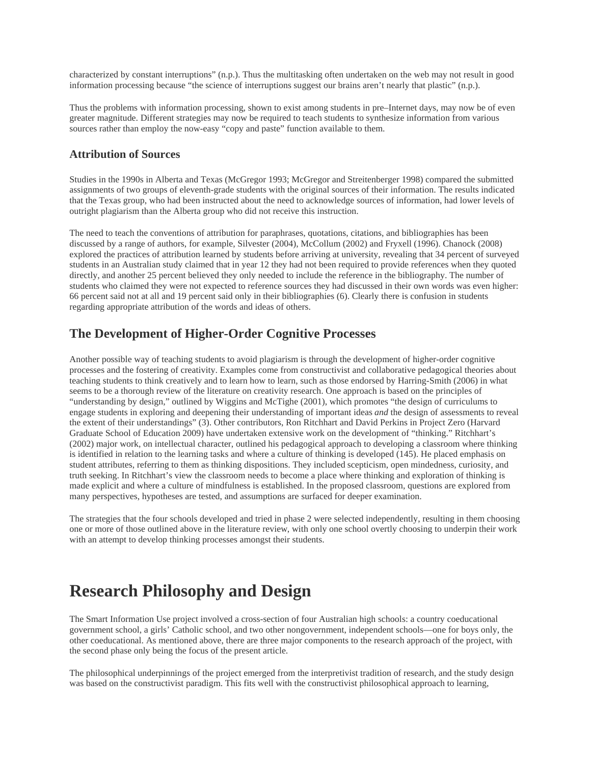characterized by constant interruptions" (n.p.). Thus the multitasking often undertaken on the web may not result in good information processing because "the science of interruptions suggest our brains aren't nearly that plastic" (n.p.).

Thus the problems with information processing, shown to exist among students in pre–Internet days, may now be of even greater magnitude. Different strategies may now be required to teach students to synthesize information from various sources rather than employ the now-easy "copy and paste" function available to them.

#### **Attribution of Sources**

Studies in the 1990s in Alberta and Texas (McGregor 1993; McGregor and Streitenberger 1998) compared the submitted assignments of two groups of eleventh-grade students with the original sources of their information. The results indicated that the Texas group, who had been instructed about the need to acknowledge sources of information, had lower levels of outright plagiarism than the Alberta group who did not receive this instruction.

The need to teach the conventions of attribution for paraphrases, quotations, citations, and bibliographies has been discussed by a range of authors, for example, Silvester (2004), McCollum (2002) and Fryxell (1996). Chanock (2008) explored the practices of attribution learned by students before arriving at university, revealing that 34 percent of surveyed students in an Australian study claimed that in year 12 they had not been required to provide references when they quoted directly, and another 25 percent believed they only needed to include the reference in the bibliography. The number of students who claimed they were not expected to reference sources they had discussed in their own words was even higher: 66 percent said not at all and 19 percent said only in their bibliographies (6). Clearly there is confusion in students regarding appropriate attribution of the words and ideas of others.

### **The Development of Higher-Order Cognitive Processes**

Another possible way of teaching students to avoid plagiarism is through the development of higher-order cognitive processes and the fostering of creativity. Examples come from constructivist and collaborative pedagogical theories about teaching students to think creatively and to learn how to learn, such as those endorsed by Harring-Smith (2006) in what seems to be a thorough review of the literature on creativity research. One approach is based on the principles of "understanding by design," outlined by Wiggins and McTighe (2001), which promotes "the design of curriculums to engage students in exploring and deepening their understanding of important ideas *and* the design of assessments to reveal the extent of their understandings" (3). Other contributors, Ron Ritchhart and David Perkins in Project Zero (Harvard Graduate School of Education 2009) have undertaken extensive work on the development of "thinking." Ritchhart's (2002) major work, on intellectual character, outlined his pedagogical approach to developing a classroom where thinking is identified in relation to the learning tasks and where a culture of thinking is developed (145). He placed emphasis on student attributes, referring to them as thinking dispositions. They included scepticism, open mindedness, curiosity, and truth seeking. In Ritchhart's view the classroom needs to become a place where thinking and exploration of thinking is made explicit and where a culture of mindfulness is established. In the proposed classroom, questions are explored from many perspectives, hypotheses are tested, and assumptions are surfaced for deeper examination.

The strategies that the four schools developed and tried in phase 2 were selected independently, resulting in them choosing one or more of those outlined above in the literature review, with only one school overtly choosing to underpin their work with an attempt to develop thinking processes amongst their students.

# **Research Philosophy and Design**

The Smart Information Use project involved a cross-section of four Australian high schools: a country coeducational government school, a girls' Catholic school, and two other nongovernment, independent schools—one for boys only, the other coeducational. As mentioned above, there are three major components to the research approach of the project, with the second phase only being the focus of the present article.

The philosophical underpinnings of the project emerged from the interpretivist tradition of research, and the study design was based on the constructivist paradigm. This fits well with the constructivist philosophical approach to learning,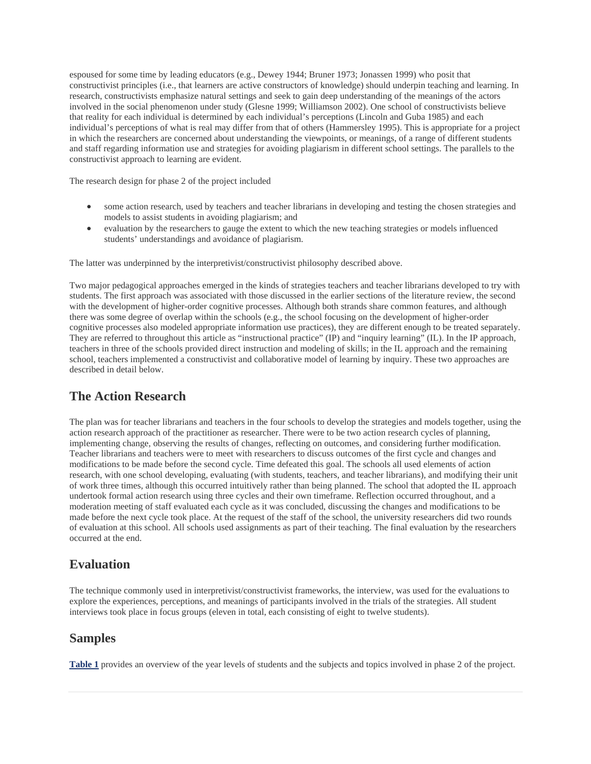espoused for some time by leading educators (e.g., Dewey 1944; Bruner 1973; Jonassen 1999) who posit that constructivist principles (i.e., that learners are active constructors of knowledge) should underpin teaching and learning. In research, constructivists emphasize natural settings and seek to gain deep understanding of the meanings of the actors involved in the social phenomenon under study (Glesne 1999; Williamson 2002). One school of constructivists believe that reality for each individual is determined by each individual's perceptions (Lincoln and Guba 1985) and each individual's perceptions of what is real may differ from that of others (Hammersley 1995). This is appropriate for a project in which the researchers are concerned about understanding the viewpoints, or meanings, of a range of different students and staff regarding information use and strategies for avoiding plagiarism in different school settings. The parallels to the constructivist approach to learning are evident.

The research design for phase 2 of the project included

- some action research, used by teachers and teacher librarians in developing and testing the chosen strategies and models to assist students in avoiding plagiarism; and
- evaluation by the researchers to gauge the extent to which the new teaching strategies or models influenced students' understandings and avoidance of plagiarism.

The latter was underpinned by the interpretivist/constructivist philosophy described above.

Two major pedagogical approaches emerged in the kinds of strategies teachers and teacher librarians developed to try with students. The first approach was associated with those discussed in the earlier sections of the literature review, the second with the development of higher-order cognitive processes. Although both strands share common features, and although there was some degree of overlap within the schools (e.g., the school focusing on the development of higher-order cognitive processes also modeled appropriate information use practices), they are different enough to be treated separately. They are referred to throughout this article as "instructional practice" (IP) and "inquiry learning" (IL). In the IP approach, teachers in three of the schools provided direct instruction and modeling of skills; in the IL approach and the remaining school, teachers implemented a constructivist and collaborative model of learning by inquiry. These two approaches are described in detail below.

## **The Action Research**

The plan was for teacher librarians and teachers in the four schools to develop the strategies and models together, using the action research approach of the practitioner as researcher. There were to be two action research cycles of planning, implementing change, observing the results of changes, reflecting on outcomes, and considering further modification. Teacher librarians and teachers were to meet with researchers to discuss outcomes of the first cycle and changes and modifications to be made before the second cycle. Time defeated this goal. The schools all used elements of action research, with one school developing, evaluating (with students, teachers, and teacher librarians), and modifying their unit of work three times, although this occurred intuitively rather than being planned. The school that adopted the IL approach undertook formal action research using three cycles and their own timeframe. Reflection occurred throughout, and a moderation meeting of staff evaluated each cycle as it was concluded, discussing the changes and modifications to be made before the next cycle took place. At the request of the staff of the school, the university researchers did two rounds of evaluation at this school. All schools used assignments as part of their teaching. The final evaluation by the researchers occurred at the end.

# **Evaluation**

The technique commonly used in interpretivist/constructivist frameworks, the interview, was used for the evaluations to explore the experiences, perceptions, and meanings of participants involved in the trials of the strategies. All student interviews took place in focus groups (eleven in total, each consisting of eight to twelve students).

#### **Samples**

**Table 1** provides an overview of the year levels of students and the subjects and topics involved in phase 2 of the project.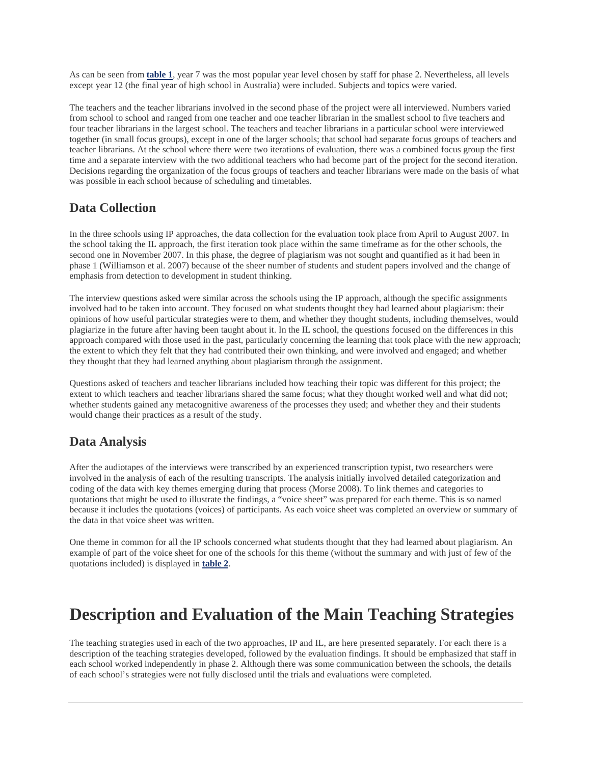As can be seen from **table 1**, year 7 was the most popular year level chosen by staff for phase 2. Nevertheless, all levels except year 12 (the final year of high school in Australia) were included. Subjects and topics were varied.

The teachers and the teacher librarians involved in the second phase of the project were all interviewed. Numbers varied from school to school and ranged from one teacher and one teacher librarian in the smallest school to five teachers and four teacher librarians in the largest school. The teachers and teacher librarians in a particular school were interviewed together (in small focus groups), except in one of the larger schools; that school had separate focus groups of teachers and teacher librarians. At the school where there were two iterations of evaluation, there was a combined focus group the first time and a separate interview with the two additional teachers who had become part of the project for the second iteration. Decisions regarding the organization of the focus groups of teachers and teacher librarians were made on the basis of what was possible in each school because of scheduling and timetables.

### **Data Collection**

In the three schools using IP approaches, the data collection for the evaluation took place from April to August 2007. In the school taking the IL approach, the first iteration took place within the same timeframe as for the other schools, the second one in November 2007. In this phase, the degree of plagiarism was not sought and quantified as it had been in phase 1 (Williamson et al. 2007) because of the sheer number of students and student papers involved and the change of emphasis from detection to development in student thinking.

The interview questions asked were similar across the schools using the IP approach, although the specific assignments involved had to be taken into account. They focused on what students thought they had learned about plagiarism: their opinions of how useful particular strategies were to them, and whether they thought students, including themselves, would plagiarize in the future after having been taught about it. In the IL school, the questions focused on the differences in this approach compared with those used in the past, particularly concerning the learning that took place with the new approach; the extent to which they felt that they had contributed their own thinking, and were involved and engaged; and whether they thought that they had learned anything about plagiarism through the assignment.

Questions asked of teachers and teacher librarians included how teaching their topic was different for this project; the extent to which teachers and teacher librarians shared the same focus; what they thought worked well and what did not; whether students gained any metacognitive awareness of the processes they used; and whether they and their students would change their practices as a result of the study.

#### **Data Analysis**

After the audiotapes of the interviews were transcribed by an experienced transcription typist, two researchers were involved in the analysis of each of the resulting transcripts. The analysis initially involved detailed categorization and coding of the data with key themes emerging during that process (Morse 2008). To link themes and categories to quotations that might be used to illustrate the findings, a "voice sheet" was prepared for each theme. This is so named because it includes the quotations (voices) of participants. As each voice sheet was completed an overview or summary of the data in that voice sheet was written.

One theme in common for all the IP schools concerned what students thought that they had learned about plagiarism. An example of part of the voice sheet for one of the schools for this theme (without the summary and with just of few of the quotations included) is displayed in **table 2**.

# **Description and Evaluation of the Main Teaching Strategies**

The teaching strategies used in each of the two approaches, IP and IL, are here presented separately. For each there is a description of the teaching strategies developed, followed by the evaluation findings. It should be emphasized that staff in each school worked independently in phase 2. Although there was some communication between the schools, the details of each school's strategies were not fully disclosed until the trials and evaluations were completed.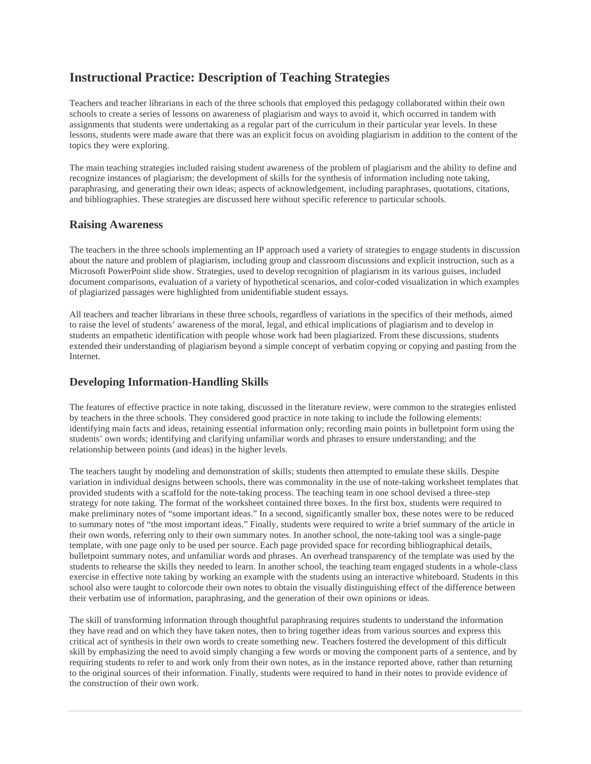## **Instructional Practice: Description of Teaching Strategies**

Teachers and teacher librarians in each of the three schools that employed this pedagogy collaborated within their own schools to create a series of lessons on awareness of plagiarism and ways to avoid it, which occurred in tandem with assignments that students were undertaking as a regular part of the curriculum in their particular year levels. In these lessons, students were made aware that there was an explicit focus on avoiding plagiarism in addition to the content of the topics they were exploring.

The main teaching strategies included raising student awareness of the problem of plagiarism and the ability to define and recognize instances of plagiarism; the development of skills for the synthesis of information including note taking, paraphrasing, and generating their own ideas; aspects of acknowledgement, including paraphrases, quotations, citations, and bibliographies. These strategies are discussed here without specific reference to particular schools.

#### **Raising Awareness**

The teachers in the three schools implementing an IP approach used a variety of strategies to engage students in discussion about the nature and problem of plagiarism, including group and classroom discussions and explicit instruction, such as a Microsoft PowerPoint slide show. Strategies, used to develop recognition of plagiarism in its various guises, included document comparisons, evaluation of a variety of hypothetical scenarios, and color-coded visualization in which examples of plagiarized passages were highlighted from unidentifiable student essays.

All teachers and teacher librarians in these three schools, regardless of variations in the specifics of their methods, aimed to raise the level of students' awareness of the moral, legal, and ethical implications of plagiarism and to develop in students an empathetic identification with people whose work had been plagiarized. From these discussions, students extended their understanding of plagiarism beyond a simple concept of verbatim copying or copying and pasting from the Internet.

#### **Developing Information-Handling Skills**

The features of effective practice in note taking, discussed in the literature review, were common to the strategies enlisted by teachers in the three schools. They considered good practice in note taking to include the following elements: identifying main facts and ideas, retaining essential information only; recording main points in bulletpoint form using the students' own words; identifying and clarifying unfamiliar words and phrases to ensure understanding; and the relationship between points (and ideas) in the higher levels.

The teachers taught by modeling and demonstration of skills; students then attempted to emulate these skills. Despite variation in individual designs between schools, there was commonality in the use of note-taking worksheet templates that provided students with a scaffold for the note-taking process. The teaching team in one school devised a three-step strategy for note taking. The format of the worksheet contained three boxes. In the first box, students were required to make preliminary notes of "some important ideas." In a second, significantly smaller box, these notes were to be reduced to summary notes of "the most important ideas." Finally, students were required to write a brief summary of the article in their own words, referring only to their own summary notes. In another school, the note-taking tool was a single-page template, with one page only to be used per source. Each page provided space for recording bibliographical details, bulletpoint summary notes, and unfamiliar words and phrases. An overhead transparency of the template was used by the students to rehearse the skills they needed to learn. In another school, the teaching team engaged students in a whole-class exercise in effective note taking by working an example with the students using an interactive whiteboard. Students in this school also were taught to colorcode their own notes to obtain the visually distinguishing effect of the difference between their verbatim use of information, paraphrasing, and the generation of their own opinions or ideas.

The skill of transforming information through thoughtful paraphrasing requires students to understand the information they have read and on which they have taken notes, then to bring together ideas from various sources and express this critical act of synthesis in their own words to create something new. Teachers fostered the development of this difficult skill by emphasizing the need to avoid simply changing a few words or moving the component parts of a sentence, and by requiring students to refer to and work only from their own notes, as in the instance reported above, rather than returning to the original sources of their information. Finally, students were required to hand in their notes to provide evidence of the construction of their own work.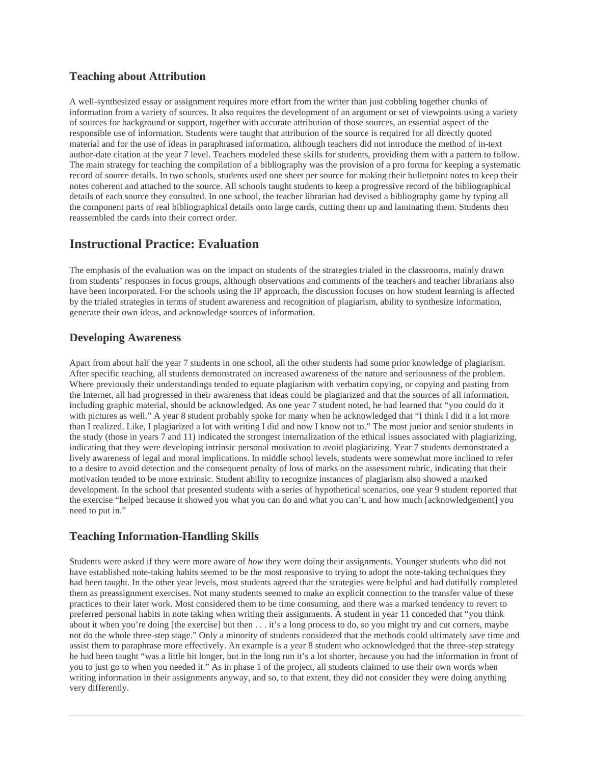#### **Teaching about Attribution**

A well-synthesized essay or assignment requires more effort from the writer than just cobbling together chunks of information from a variety of sources. It also requires the development of an argument or set of viewpoints using a variety of sources for background or support, together with accurate attribution of those sources, an essential aspect of the responsible use of information. Students were taught that attribution of the source is required for all directly quoted material and for the use of ideas in paraphrased information, although teachers did not introduce the method of in-text author-date citation at the year 7 level. Teachers modeled these skills for students, providing them with a pattern to follow. The main strategy for teaching the compilation of a bibliography was the provision of a pro forma for keeping a systematic record of source details. In two schools, students used one sheet per source for making their bulletpoint notes to keep their notes coherent and attached to the source. All schools taught students to keep a progressive record of the bibliographical details of each source they consulted. In one school, the teacher librarian had devised a bibliography game by typing all the component parts of real bibliographical details onto large cards, cutting them up and laminating them. Students then reassembled the cards into their correct order.

### **Instructional Practice: Evaluation**

The emphasis of the evaluation was on the impact on students of the strategies trialed in the classrooms, mainly drawn from students' responses in focus groups, although observations and comments of the teachers and teacher librarians also have been incorporated. For the schools using the IP approach, the discussion focuses on how student learning is affected by the trialed strategies in terms of student awareness and recognition of plagiarism, ability to synthesize information, generate their own ideas, and acknowledge sources of information.

#### **Developing Awareness**

Apart from about half the year 7 students in one school, all the other students had some prior knowledge of plagiarism. After specific teaching, all students demonstrated an increased awareness of the nature and seriousness of the problem. Where previously their understandings tended to equate plagiarism with verbatim copying, or copying and pasting from the Internet, all had progressed in their awareness that ideas could be plagiarized and that the sources of all information, including graphic material, should be acknowledged. As one year 7 student noted, he had learned that "you could do it with pictures as well." A year 8 student probably spoke for many when he acknowledged that "I think I did it a lot more than I realized. Like, I plagiarized a lot with writing I did and now I know not to." The most junior and senior students in the study (those in years 7 and 11) indicated the strongest internalization of the ethical issues associated with plagiarizing, indicating that they were developing intrinsic personal motivation to avoid plagiarizing. Year 7 students demonstrated a lively awareness of legal and moral implications. In middle school levels, students were somewhat more inclined to refer to a desire to avoid detection and the consequent penalty of loss of marks on the assessment rubric, indicating that their motivation tended to be more extrinsic. Student ability to recognize instances of plagiarism also showed a marked development. In the school that presented students with a series of hypothetical scenarios, one year 9 student reported that the exercise "helped because it showed you what you can do and what you can't, and how much [acknowledgement] you need to put in."

#### **Teaching Information-Handling Skills**

Students were asked if they were more aware of *how* they were doing their assignments. Younger students who did not have established note-taking habits seemed to be the most responsive to trying to adopt the note-taking techniques they had been taught. In the other year levels, most students agreed that the strategies were helpful and had dutifully completed them as preassignment exercises. Not many students seemed to make an explicit connection to the transfer value of these practices to their later work. Most considered them to be time consuming, and there was a marked tendency to revert to preferred personal habits in note taking when writing their assignments. A student in year 11 conceded that "you think about it when you're doing [the exercise] but then . . . it's a long process to do, so you might try and cut corners, maybe not do the whole three-step stage." Only a minority of students considered that the methods could ultimately save time and assist them to paraphrase more effectively. An example is a year 8 student who acknowledged that the three-step strategy he had been taught "was a little bit longer, but in the long run it's a lot shorter, because you had the information in front of you to just go to when you needed it." As in phase 1 of the project, all students claimed to use their own words when writing information in their assignments anyway, and so, to that extent, they did not consider they were doing anything very differently.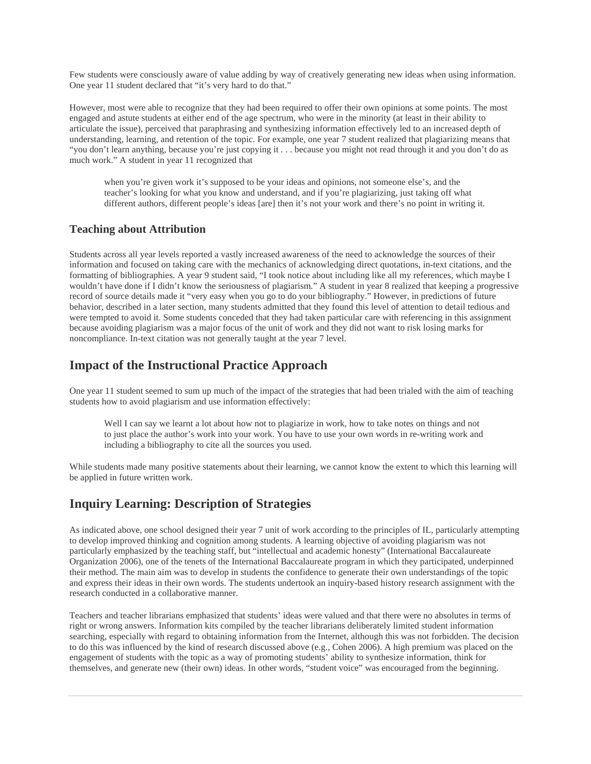Few students were consciously aware of value adding by way of creatively generating new ideas when using information. One year 11 student declared that "it's very hard to do that."

However, most were able to recognize that they had been required to offer their own opinions at some points. The most engaged and astute students at either end of the age spectrum, who were in the minority (at least in their ability to articulate the issue), perceived that paraphrasing and synthesizing information effectively led to an increased depth of understanding, learning, and retention of the topic. For example, one year 7 student realized that plagiarizing means that "you don't learn anything, because you're just copying it . . . because you might not read through it and you don't do as much work." A student in year 11 recognized that

when you're given work it's supposed to be your ideas and opinions, not someone else's, and the teacher's looking for what you know and understand, and if you're plagiarizing, just taking off what different authors, different people's ideas [are] then it's not your work and there's no point in writing it.

#### **Teaching about Attribution**

Students across all year levels reported a vastly increased awareness of the need to acknowledge the sources of their information and focused on taking care with the mechanics of acknowledging direct quotations, in-text citations, and the formatting of bibliographies. A year 9 student said, "I took notice about including like all my references, which maybe I wouldn't have done if I didn't know the seriousness of plagiarism." A student in year 8 realized that keeping a progressive record of source details made it "very easy when you go to do your bibliography." However, in predictions of future behavior, described in a later section, many students admitted that they found this level of attention to detail tedious and were tempted to avoid it. Some students conceded that they had taken particular care with referencing in this assignment because avoiding plagiarism was a major focus of the unit of work and they did not want to risk losing marks for noncompliance. In-text citation was not generally taught at the year 7 level.

#### **Impact of the Instructional Practice Approach**

One year 11 student seemed to sum up much of the impact of the strategies that had been trialed with the aim of teaching students how to avoid plagiarism and use information effectively:

Well I can say we learnt a lot about how not to plagiarize in work, how to take notes on things and not to just place the author's work into your work. You have to use your own words in re-writing work and including a bibliography to cite all the sources you used.

While students made many positive statements about their learning, we cannot know the extent to which this learning will be applied in future written work.

#### **Inquiry Learning: Description of Strategies**

As indicated above, one school designed their year 7 unit of work according to the principles of IL, particularly attempting to develop improved thinking and cognition among students. A learning objective of avoiding plagiarism was not particularly emphasized by the teaching staff, but "intellectual and academic honesty" (International Baccalaureate Organization 2006), one of the tenets of the International Baccalaureate program in which they participated, underpinned their method. The main aim was to develop in students the confidence to generate their own understandings of the topic and express their ideas in their own words. The students undertook an inquiry-based history research assignment with the research conducted in a collaborative manner.

Teachers and teacher librarians emphasized that students' ideas were valued and that there were no absolutes in terms of right or wrong answers. Information kits compiled by the teacher librarians deliberately limited student information searching, especially with regard to obtaining information from the Internet, although this was not forbidden. The decision to do this was influenced by the kind of research discussed above (e.g., Cohen 2006). A high premium was placed on the engagement of students with the topic as a way of promoting students' ability to synthesize information, think for themselves, and generate new (their own) ideas. In other words, "student voice" was encouraged from the beginning.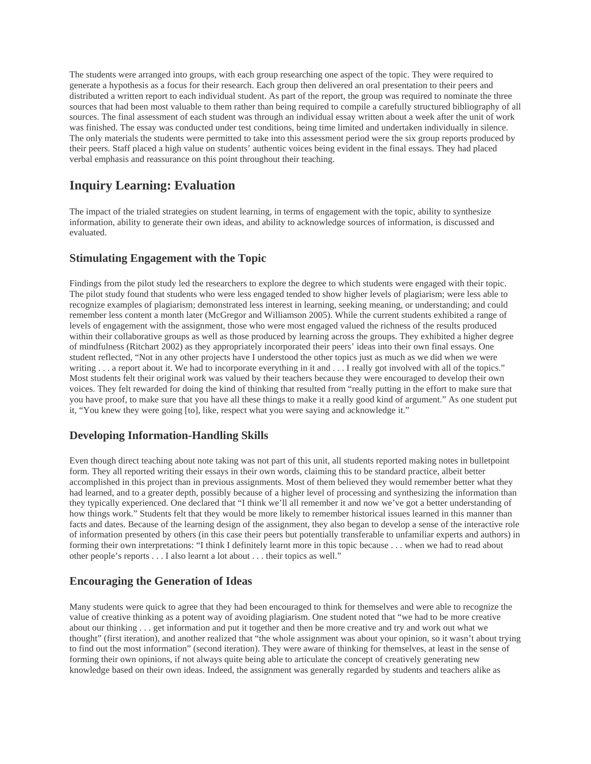The students were arranged into groups, with each group researching one aspect of the topic. They were required to generate a hypothesis as a focus for their research. Each group then delivered an oral presentation to their peers and distributed a written report to each individual student. As part of the report, the group was required to nominate the three sources that had been most valuable to them rather than being required to compile a carefully structured bibliography of all sources. The final assessment of each student was through an individual essay written about a week after the unit of work was finished. The essay was conducted under test conditions, being time limited and undertaken individually in silence. The only materials the students were permitted to take into this assessment period were the six group reports produced by their peers. Staff placed a high value on students' authentic voices being evident in the final essays. They had placed verbal emphasis and reassurance on this point throughout their teaching.

# **Inquiry Learning: Evaluation**

The impact of the trialed strategies on student learning, in terms of engagement with the topic, ability to synthesize information, ability to generate their own ideas, and ability to acknowledge sources of information, is discussed and evaluated.

#### **Stimulating Engagement with the Topic**

Findings from the pilot study led the researchers to explore the degree to which students were engaged with their topic. The pilot study found that students who were less engaged tended to show higher levels of plagiarism; were less able to recognize examples of plagiarism; demonstrated less interest in learning, seeking meaning, or understanding; and could remember less content a month later (McGregor and Williamson 2005). While the current students exhibited a range of levels of engagement with the assignment, those who were most engaged valued the richness of the results produced within their collaborative groups as well as those produced by learning across the groups. They exhibited a higher degree of mindfulness (Ritchart 2002) as they appropriately incorporated their peers' ideas into their own final essays. One student reflected, "Not in any other projects have I understood the other topics just as much as we did when we were writing . . . a report about it. We had to incorporate everything in it and . . . I really got involved with all of the topics." Most students felt their original work was valued by their teachers because they were encouraged to develop their own voices. They felt rewarded for doing the kind of thinking that resulted from "really putting in the effort to make sure that you have proof, to make sure that you have all these things to make it a really good kind of argument." As one student put it, "You knew they were going [to], like, respect what you were saying and acknowledge it."

#### **Developing Information-Handling Skills**

Even though direct teaching about note taking was not part of this unit, all students reported making notes in bulletpoint form. They all reported writing their essays in their own words, claiming this to be standard practice, albeit better accomplished in this project than in previous assignments. Most of them believed they would remember better what they had learned, and to a greater depth, possibly because of a higher level of processing and synthesizing the information than they typically experienced. One declared that "I think we'll all remember it and now we've got a better understanding of how things work." Students felt that they would be more likely to remember historical issues learned in this manner than facts and dates. Because of the learning design of the assignment, they also began to develop a sense of the interactive role of information presented by others (in this case their peers but potentially transferable to unfamiliar experts and authors) in forming their own interpretations: "I think I definitely learnt more in this topic because . . . when we had to read about other people's reports . . . I also learnt a lot about . . . their topics as well."

#### **Encouraging the Generation of Ideas**

Many students were quick to agree that they had been encouraged to think for themselves and were able to recognize the value of creative thinking as a potent way of avoiding plagiarism. One student noted that "we had to be more creative about our thinking . . . get information and put it together and then be more creative and try and work out what we thought" (first iteration), and another realized that "the whole assignment was about your opinion, so it wasn't about trying to find out the most information" (second iteration). They were aware of thinking for themselves, at least in the sense of forming their own opinions, if not always quite being able to articulate the concept of creatively generating new knowledge based on their own ideas. Indeed, the assignment was generally regarded by students and teachers alike as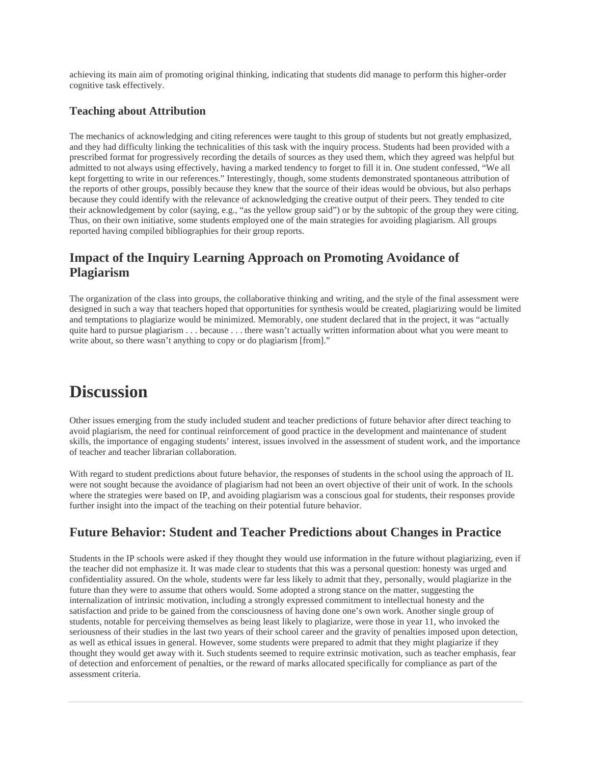achieving its main aim of promoting original thinking, indicating that students did manage to perform this higher-order cognitive task effectively.

#### **Teaching about Attribution**

The mechanics of acknowledging and citing references were taught to this group of students but not greatly emphasized, and they had difficulty linking the technicalities of this task with the inquiry process. Students had been provided with a prescribed format for progressively recording the details of sources as they used them, which they agreed was helpful but admitted to not always using effectively, having a marked tendency to forget to fill it in. One student confessed, "We all kept forgetting to write in our references." Interestingly, though, some students demonstrated spontaneous attribution of the reports of other groups, possibly because they knew that the source of their ideas would be obvious, but also perhaps because they could identify with the relevance of acknowledging the creative output of their peers. They tended to cite their acknowledgement by color (saying, e.g., "as the yellow group said") or by the subtopic of the group they were citing. Thus, on their own initiative, some students employed one of the main strategies for avoiding plagiarism. All groups reported having compiled bibliographies for their group reports.

## **Impact of the Inquiry Learning Approach on Promoting Avoidance of Plagiarism**

The organization of the class into groups, the collaborative thinking and writing, and the style of the final assessment were designed in such a way that teachers hoped that opportunities for synthesis would be created, plagiarizing would be limited and temptations to plagiarize would be minimized. Memorably, one student declared that in the project, it was "actually quite hard to pursue plagiarism . . . because . . . there wasn't actually written information about what you were meant to write about, so there wasn't anything to copy or do plagiarism [from]."

# **Discussion**

Other issues emerging from the study included student and teacher predictions of future behavior after direct teaching to avoid plagiarism, the need for continual reinforcement of good practice in the development and maintenance of student skills, the importance of engaging students' interest, issues involved in the assessment of student work, and the importance of teacher and teacher librarian collaboration.

With regard to student predictions about future behavior, the responses of students in the school using the approach of IL were not sought because the avoidance of plagiarism had not been an overt objective of their unit of work. In the schools where the strategies were based on IP, and avoiding plagiarism was a conscious goal for students, their responses provide further insight into the impact of the teaching on their potential future behavior.

## **Future Behavior: Student and Teacher Predictions about Changes in Practice**

Students in the IP schools were asked if they thought they would use information in the future without plagiarizing, even if the teacher did not emphasize it. It was made clear to students that this was a personal question: honesty was urged and confidentiality assured. On the whole, students were far less likely to admit that they, personally, would plagiarize in the future than they were to assume that others would. Some adopted a strong stance on the matter, suggesting the internalization of intrinsic motivation, including a strongly expressed commitment to intellectual honesty and the satisfaction and pride to be gained from the consciousness of having done one's own work. Another single group of students, notable for perceiving themselves as being least likely to plagiarize, were those in year 11, who invoked the seriousness of their studies in the last two years of their school career and the gravity of penalties imposed upon detection, as well as ethical issues in general. However, some students were prepared to admit that they might plagiarize if they thought they would get away with it. Such students seemed to require extrinsic motivation, such as teacher emphasis, fear of detection and enforcement of penalties, or the reward of marks allocated specifically for compliance as part of the assessment criteria.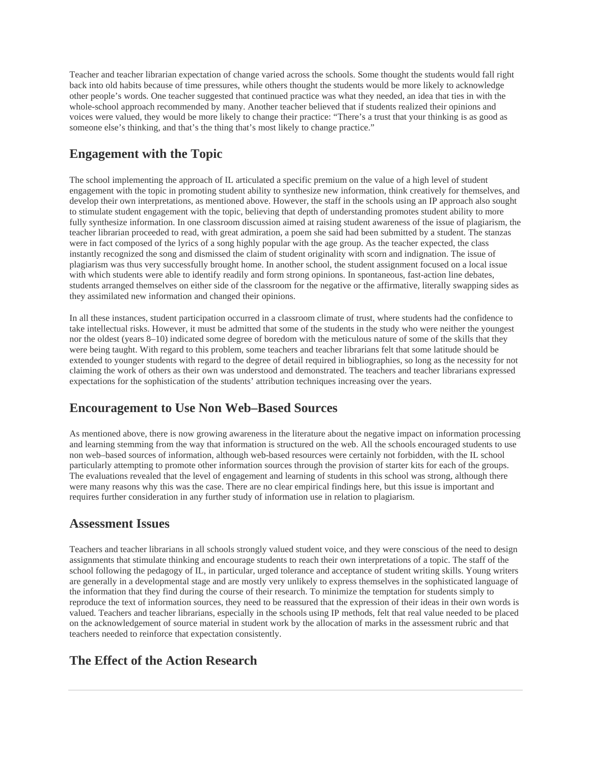Teacher and teacher librarian expectation of change varied across the schools. Some thought the students would fall right back into old habits because of time pressures, while others thought the students would be more likely to acknowledge other people's words. One teacher suggested that continued practice was what they needed, an idea that ties in with the whole-school approach recommended by many. Another teacher believed that if students realized their opinions and voices were valued, they would be more likely to change their practice: "There's a trust that your thinking is as good as someone else's thinking, and that's the thing that's most likely to change practice."

## **Engagement with the Topic**

The school implementing the approach of IL articulated a specific premium on the value of a high level of student engagement with the topic in promoting student ability to synthesize new information, think creatively for themselves, and develop their own interpretations, as mentioned above. However, the staff in the schools using an IP approach also sought to stimulate student engagement with the topic, believing that depth of understanding promotes student ability to more fully synthesize information. In one classroom discussion aimed at raising student awareness of the issue of plagiarism, the teacher librarian proceeded to read, with great admiration, a poem she said had been submitted by a student. The stanzas were in fact composed of the lyrics of a song highly popular with the age group. As the teacher expected, the class instantly recognized the song and dismissed the claim of student originality with scorn and indignation. The issue of plagiarism was thus very successfully brought home. In another school, the student assignment focused on a local issue with which students were able to identify readily and form strong opinions. In spontaneous, fast-action line debates, students arranged themselves on either side of the classroom for the negative or the affirmative, literally swapping sides as they assimilated new information and changed their opinions.

In all these instances, student participation occurred in a classroom climate of trust, where students had the confidence to take intellectual risks. However, it must be admitted that some of the students in the study who were neither the youngest nor the oldest (years 8–10) indicated some degree of boredom with the meticulous nature of some of the skills that they were being taught. With regard to this problem, some teachers and teacher librarians felt that some latitude should be extended to younger students with regard to the degree of detail required in bibliographies, so long as the necessity for not claiming the work of others as their own was understood and demonstrated. The teachers and teacher librarians expressed expectations for the sophistication of the students' attribution techniques increasing over the years.

# **Encouragement to Use Non Web–Based Sources**

As mentioned above, there is now growing awareness in the literature about the negative impact on information processing and learning stemming from the way that information is structured on the web. All the schools encouraged students to use non web–based sources of information, although web-based resources were certainly not forbidden, with the IL school particularly attempting to promote other information sources through the provision of starter kits for each of the groups. The evaluations revealed that the level of engagement and learning of students in this school was strong, although there were many reasons why this was the case. There are no clear empirical findings here, but this issue is important and requires further consideration in any further study of information use in relation to plagiarism.

#### **Assessment Issues**

Teachers and teacher librarians in all schools strongly valued student voice, and they were conscious of the need to design assignments that stimulate thinking and encourage students to reach their own interpretations of a topic. The staff of the school following the pedagogy of IL, in particular, urged tolerance and acceptance of student writing skills. Young writers are generally in a developmental stage and are mostly very unlikely to express themselves in the sophisticated language of the information that they find during the course of their research. To minimize the temptation for students simply to reproduce the text of information sources, they need to be reassured that the expression of their ideas in their own words is valued. Teachers and teacher librarians, especially in the schools using IP methods, felt that real value needed to be placed on the acknowledgement of source material in student work by the allocation of marks in the assessment rubric and that teachers needed to reinforce that expectation consistently.

# **The Effect of the Action Research**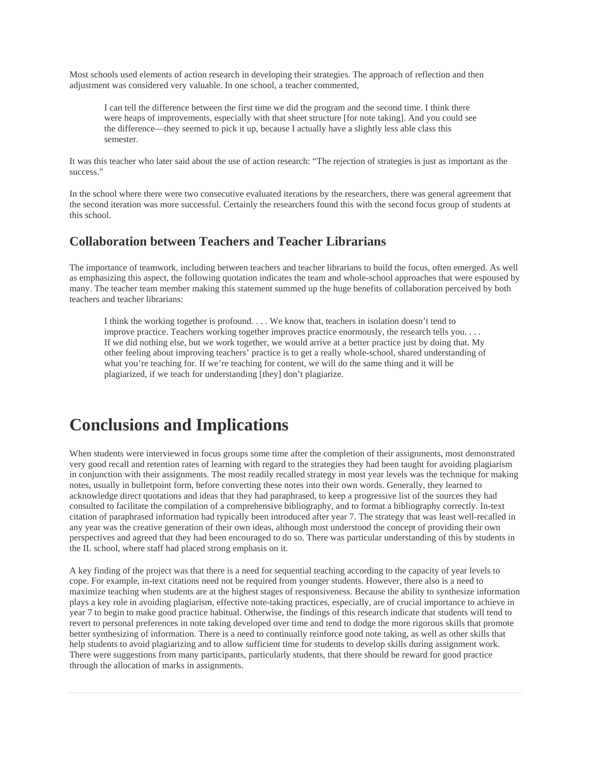Most schools used elements of action research in developing their strategies. The approach of reflection and then adjustment was considered very valuable. In one school, a teacher commented,

I can tell the difference between the first time we did the program and the second time. I think there were heaps of improvements, especially with that sheet structure [for note taking]. And you could see the difference—they seemed to pick it up, because I actually have a slightly less able class this semester.

It was this teacher who later said about the use of action research: "The rejection of strategies is just as important as the success."

In the school where there were two consecutive evaluated iterations by the researchers, there was general agreement that the second iteration was more successful. Certainly the researchers found this with the second focus group of students at this school.

#### **Collaboration between Teachers and Teacher Librarians**

The importance of teamwork, including between teachers and teacher librarians to build the focus, often emerged. As well as emphasizing this aspect, the following quotation indicates the team and whole-school approaches that were espoused by many. The teacher team member making this statement summed up the huge benefits of collaboration perceived by both teachers and teacher librarians:

I think the working together is profound. . . . We know that, teachers in isolation doesn't tend to improve practice. Teachers working together improves practice enormously, the research tells you. . . . If we did nothing else, but we work together, we would arrive at a better practice just by doing that. My other feeling about improving teachers' practice is to get a really whole-school, shared understanding of what you're teaching for. If we're teaching for content, we will do the same thing and it will be plagiarized, if we teach for understanding [they] don't plagiarize.

# **Conclusions and Implications**

When students were interviewed in focus groups some time after the completion of their assignments, most demonstrated very good recall and retention rates of learning with regard to the strategies they had been taught for avoiding plagiarism in conjunction with their assignments. The most readily recalled strategy in most year levels was the technique for making notes, usually in bulletpoint form, before converting these notes into their own words. Generally, they learned to acknowledge direct quotations and ideas that they had paraphrased, to keep a progressive list of the sources they had consulted to facilitate the compilation of a comprehensive bibliography, and to format a bibliography correctly. In-text citation of paraphrased information had typically been introduced after year 7. The strategy that was least well-recalled in any year was the creative generation of their own ideas, although most understood the concept of providing their own perspectives and agreed that they had been encouraged to do so. There was particular understanding of this by students in the IL school, where staff had placed strong emphasis on it.

A key finding of the project was that there is a need for sequential teaching according to the capacity of year levels to cope. For example, in-text citations need not be required from younger students. However, there also is a need to maximize teaching when students are at the highest stages of responsiveness. Because the ability to synthesize information plays a key role in avoiding plagiarism, effective note-taking practices, especially, are of crucial importance to achieve in year 7 to begin to make good practice habitual. Otherwise, the findings of this research indicate that students will tend to revert to personal preferences in note taking developed over time and tend to dodge the more rigorous skills that promote better synthesizing of information. There is a need to continually reinforce good note taking, as well as other skills that help students to avoid plagiarizing and to allow sufficient time for students to develop skills during assignment work. There were suggestions from many participants, particularly students, that there should be reward for good practice through the allocation of marks in assignments.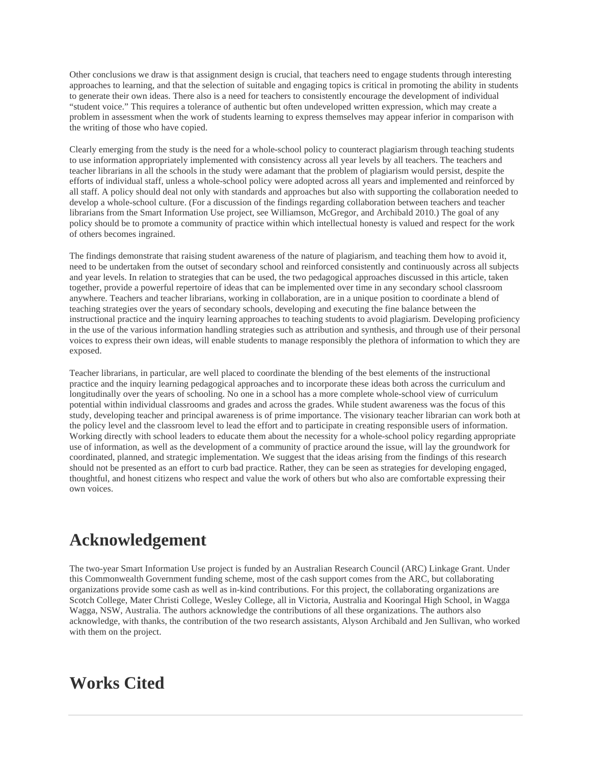Other conclusions we draw is that assignment design is crucial, that teachers need to engage students through interesting approaches to learning, and that the selection of suitable and engaging topics is critical in promoting the ability in students to generate their own ideas. There also is a need for teachers to consistently encourage the development of individual "student voice." This requires a tolerance of authentic but often undeveloped written expression, which may create a problem in assessment when the work of students learning to express themselves may appear inferior in comparison with the writing of those who have copied.

Clearly emerging from the study is the need for a whole-school policy to counteract plagiarism through teaching students to use information appropriately implemented with consistency across all year levels by all teachers. The teachers and teacher librarians in all the schools in the study were adamant that the problem of plagiarism would persist, despite the efforts of individual staff, unless a whole-school policy were adopted across all years and implemented and reinforced by all staff. A policy should deal not only with standards and approaches but also with supporting the collaboration needed to develop a whole-school culture. (For a discussion of the findings regarding collaboration between teachers and teacher librarians from the Smart Information Use project, see Williamson, McGregor, and Archibald 2010.) The goal of any policy should be to promote a community of practice within which intellectual honesty is valued and respect for the work of others becomes ingrained.

The findings demonstrate that raising student awareness of the nature of plagiarism, and teaching them how to avoid it, need to be undertaken from the outset of secondary school and reinforced consistently and continuously across all subjects and year levels. In relation to strategies that can be used, the two pedagogical approaches discussed in this article, taken together, provide a powerful repertoire of ideas that can be implemented over time in any secondary school classroom anywhere. Teachers and teacher librarians, working in collaboration, are in a unique position to coordinate a blend of teaching strategies over the years of secondary schools, developing and executing the fine balance between the instructional practice and the inquiry learning approaches to teaching students to avoid plagiarism. Developing proficiency in the use of the various information handling strategies such as attribution and synthesis, and through use of their personal voices to express their own ideas, will enable students to manage responsibly the plethora of information to which they are exposed.

Teacher librarians, in particular, are well placed to coordinate the blending of the best elements of the instructional practice and the inquiry learning pedagogical approaches and to incorporate these ideas both across the curriculum and longitudinally over the years of schooling. No one in a school has a more complete whole-school view of curriculum potential within individual classrooms and grades and across the grades. While student awareness was the focus of this study, developing teacher and principal awareness is of prime importance. The visionary teacher librarian can work both at the policy level and the classroom level to lead the effort and to participate in creating responsible users of information. Working directly with school leaders to educate them about the necessity for a whole-school policy regarding appropriate use of information, as well as the development of a community of practice around the issue, will lay the groundwork for coordinated, planned, and strategic implementation. We suggest that the ideas arising from the findings of this research should not be presented as an effort to curb bad practice. Rather, they can be seen as strategies for developing engaged, thoughtful, and honest citizens who respect and value the work of others but who also are comfortable expressing their own voices.

# **Acknowledgement**

The two-year Smart Information Use project is funded by an Australian Research Council (ARC) Linkage Grant. Under this Commonwealth Government funding scheme, most of the cash support comes from the ARC, but collaborating organizations provide some cash as well as in-kind contributions. For this project, the collaborating organizations are Scotch College, Mater Christi College, Wesley College, all in Victoria, Australia and Kooringal High School, in Wagga Wagga, NSW, Australia. The authors acknowledge the contributions of all these organizations. The authors also acknowledge, with thanks, the contribution of the two research assistants, Alyson Archibald and Jen Sullivan, who worked with them on the project.

# **Works Cited**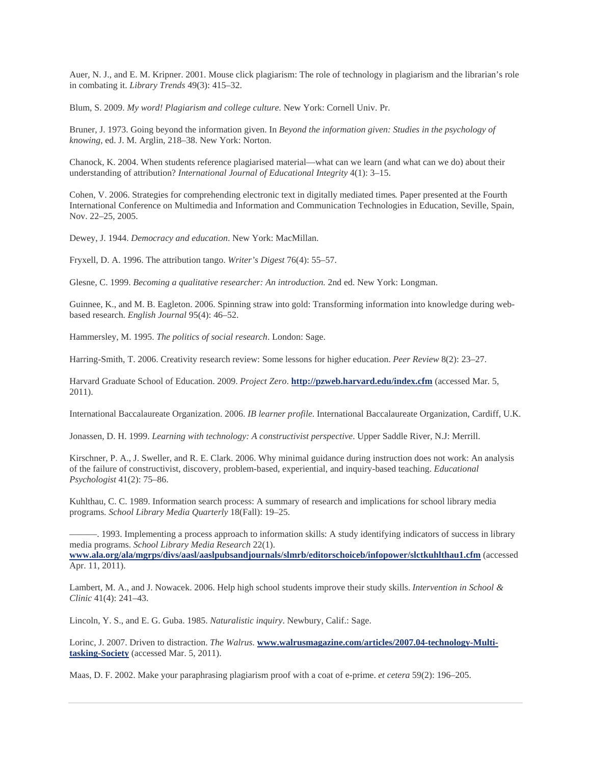Auer, N. J., and E. M. Kripner. 2001. Mouse click plagiarism: The role of technology in plagiarism and the librarian's role in combating it. *Library Trends* 49(3): 415–32.

Blum, S. 2009. *My word! Plagiarism and college culture*. New York: Cornell Univ. Pr.

Bruner, J. 1973. Going beyond the information given. In *Beyond the information given: Studies in the psychology of knowing*, ed. J. M. Arglin, 218–38. New York: Norton.

Chanock, K. 2004. When students reference plagiarised material—what can we learn (and what can we do) about their understanding of attribution? *International Journal of Educational Integrity* 4(1): 3–15.

Cohen, V. 2006. Strategies for comprehending electronic text in digitally mediated times*.* Paper presented at the Fourth International Conference on Multimedia and Information and Communication Technologies in Education, Seville, Spain, Nov. 22–25, 2005.

Dewey, J. 1944. *Democracy and education*. New York: MacMillan.

Fryxell, D. A. 1996. The attribution tango. *Writer's Digest* 76(4): 55–57.

Glesne, C. 1999. *Becoming a qualitative researcher: An introduction.* 2nd ed. New York: Longman.

Guinnee, K., and M. B. Eagleton. 2006. Spinning straw into gold: Transforming information into knowledge during webbased research. *English Journal* 95(4): 46–52.

Hammersley, M. 1995. *The politics of social research*. London: Sage.

Harring-Smith, T. 2006. Creativity research review: Some lessons for higher education. *Peer Review* 8(2): 23–27.

Harvard Graduate School of Education. 2009. *Project Zero*. **http://pzweb.harvard.edu/index.cfm** (accessed Mar. 5, 2011).

International Baccalaureate Organization. 2006. *IB learner profile*. International Baccalaureate Organization, Cardiff, U.K.

Jonassen, D. H. 1999. *Learning with technology: A constructivist perspective*. Upper Saddle River, N.J: Merrill.

Kirschner, P. A., J. Sweller, and R. E. Clark. 2006. Why minimal guidance during instruction does not work: An analysis of the failure of constructivist, discovery, problem-based, experiential, and inquiry-based teaching. *Educational Psychologist* 41(2): 75–86.

Kuhlthau, C. C. 1989. Information search process: A summary of research and implications for school library media programs. *School Library Media Quarterly* 18(Fall): 19–25.

———. 1993. Implementing a process approach to information skills: A study identifying indicators of success in library media programs. *School Library Media Research* 22(1).

**www.ala.org/ala/mgrps/divs/aasl/aaslpubsandjournals/slmrb/editorschoiceb/infopower/slctkuhlthau1.cfm** (accessed Apr. 11, 2011).

Lambert, M. A., and J. Nowacek. 2006. Help high school students improve their study skills. *Intervention in School & Clinic* 41(4): 241–43.

Lincoln, Y. S., and E. G. Guba. 1985. *Naturalistic inquiry*. Newbury, Calif.: Sage.

Lorinc, J. 2007. Driven to distraction. *The Walrus*. **www.walrusmagazine.com/articles/2007.04-technology-Multitasking-Society** (accessed Mar. 5, 2011).

Maas, D. F. 2002. Make your paraphrasing plagiarism proof with a coat of e-prime. *et cetera* 59(2): 196–205.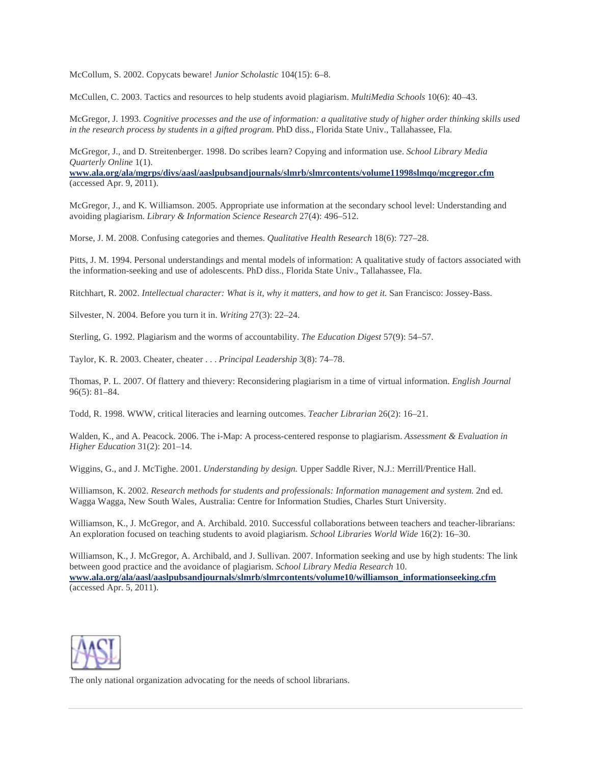McCollum, S. 2002. Copycats beware! *Junior Scholastic* 104(15): 6–8.

McCullen, C. 2003. Tactics and resources to help students avoid plagiarism. *MultiMedia Schools* 10(6): 40–43.

McGregor, J. 1993. *Cognitive processes and the use of information: a qualitative study of higher order thinking skills used in the research process by students in a gifted program.* PhD diss., Florida State Univ., Tallahassee, Fla.

McGregor, J., and D. Streitenberger. 1998. Do scribes learn? Copying and information use. *School Library Media Quarterly Online* 1(1).

**www.ala.org/ala/mgrps/divs/aasl/aaslpubsandjournals/slmrb/slmrcontents/volume11998slmqo/mcgregor.cfm** (accessed Apr. 9, 2011).

McGregor, J., and K. Williamson. 2005. Appropriate use information at the secondary school level: Understanding and avoiding plagiarism. *Library & Information Science Research* 27(4): 496–512.

Morse, J. M. 2008. Confusing categories and themes. *Qualitative Health Research* 18(6): 727–28.

Pitts, J. M. 1994. Personal understandings and mental models of information: A qualitative study of factors associated with the information-seeking and use of adolescents. PhD diss., Florida State Univ., Tallahassee, Fla.

Ritchhart, R. 2002. *Intellectual character: What is it, why it matters, and how to get it.* San Francisco: Jossey-Bass.

Silvester, N. 2004. Before you turn it in. *Writing* 27(3): 22–24.

Sterling, G. 1992. Plagiarism and the worms of accountability. *The Education Digest* 57(9): 54–57.

Taylor, K. R. 2003. Cheater, cheater . . . *Principal Leadership* 3(8): 74–78.

Thomas, P. L. 2007. Of flattery and thievery: Reconsidering plagiarism in a time of virtual information. *English Journal*  96(5): 81–84.

Todd, R. 1998. WWW, critical literacies and learning outcomes. *Teacher Librarian* 26(2): 16–21.

Walden, K., and A. Peacock. 2006. The i-Map: A process-centered response to plagiarism. *Assessment & Evaluation in Higher Education* 31(2): 201–14.

Wiggins, G., and J. McTighe. 2001. *Understanding by design.* Upper Saddle River, N.J.: Merrill/Prentice Hall.

Williamson, K. 2002. *Research methods for students and professionals: Information management and system.* 2nd ed. Wagga Wagga, New South Wales, Australia: Centre for Information Studies, Charles Sturt University.

Williamson, K., J. McGregor, and A. Archibald. 2010. Successful collaborations between teachers and teacher-librarians: An exploration focused on teaching students to avoid plagiarism. *School Libraries World Wide* 16(2): 16–30.

Williamson, K., J. McGregor, A. Archibald, and J. Sullivan. 2007. Information seeking and use by high students: The link between good practice and the avoidance of plagiarism. *School Library Media Research* 10. **www.ala.org/ala/aasl/aaslpubsandjournals/slmrb/slmrcontents/volume10/williamson\_informationseeking.cfm** (accessed Apr. 5, 2011).



The only national organization advocating for the needs of school librarians.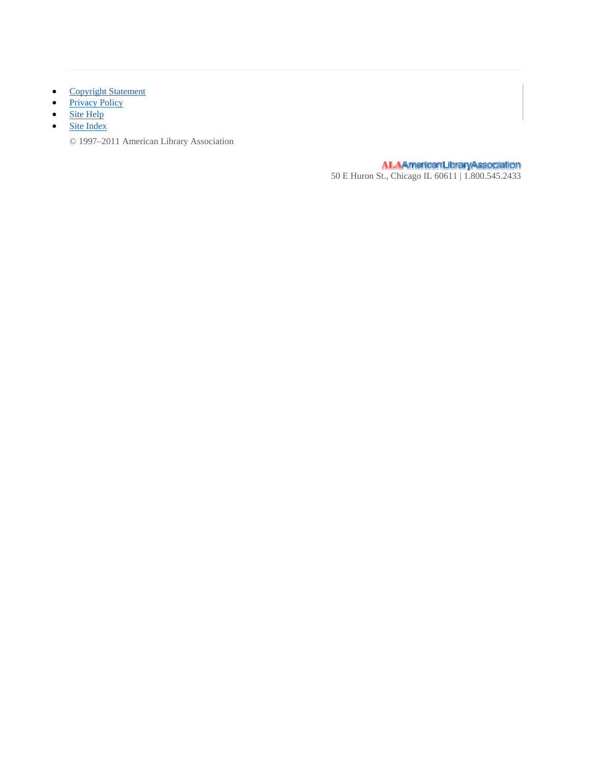- Copyright Statement
- Privacy Policy
- $\bullet$  Site Help
- Site Index
	- © 1997–2011 American Library Association

ALAAmericanLibraryAssociation<br>50 E Huron St., Chicago IL 60611 | 1.800.545.2433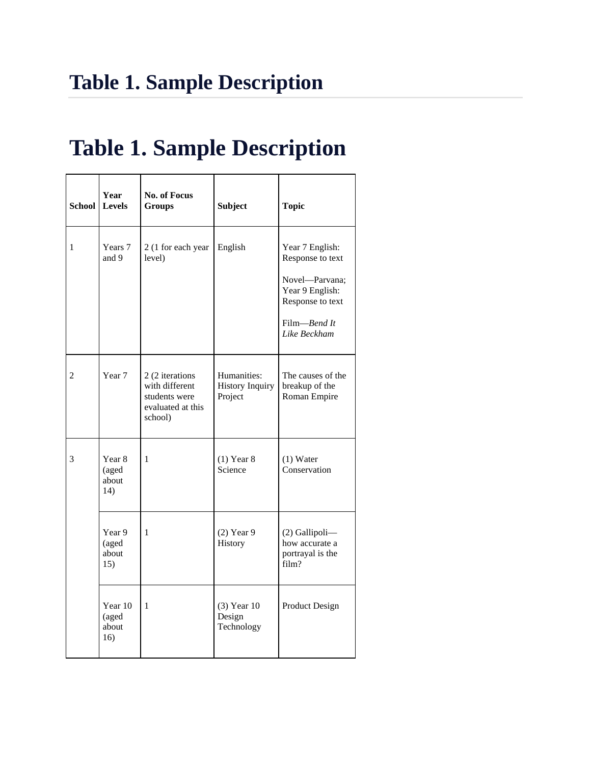# **Table 1. Sample Description**

| School | Year<br><b>Levels</b>                      | <b>No. of Focus</b><br>Groups                                                      | <b>Subject</b>                                   | <b>Topic</b>                                                                                                                 |
|--------|--------------------------------------------|------------------------------------------------------------------------------------|--------------------------------------------------|------------------------------------------------------------------------------------------------------------------------------|
| 1      | Years 7<br>and 9                           | 2 (1 for each year<br>level)                                                       | English                                          | Year 7 English:<br>Response to text<br>Novel-Parvana;<br>Year 9 English:<br>Response to text<br>Film-Bend It<br>Like Beckham |
| 2      | Year 7                                     | 2 (2 iterations<br>with different<br>students were<br>evaluated at this<br>school) | Humanities:<br><b>History Inquiry</b><br>Project | The causes of the<br>breakup of the<br>Roman Empire                                                                          |
| 3      | Year <sub>8</sub><br>(aged<br>about<br>14) | 1                                                                                  | $(1)$ Year 8<br>Science                          | $(1)$ Water<br>Conservation                                                                                                  |
|        | Year 9<br>(aged<br>about<br>15)            | 1                                                                                  | $(2)$ Year 9<br>History                          | (2) Gallipoli-<br>how accurate a<br>portrayal is the<br>film?                                                                |
|        | Year 10<br>(aged<br>about<br>16)           | 1                                                                                  | $(3)$ Year 10<br>Design<br>Technology            | Product Design                                                                                                               |